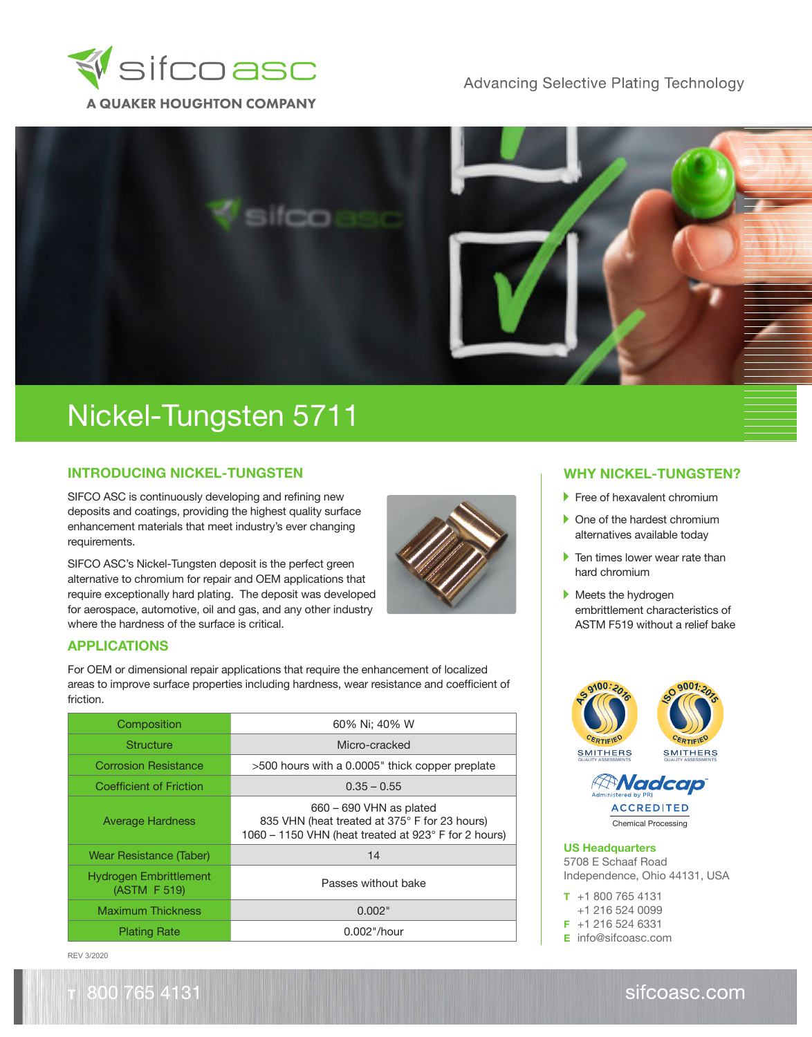

**Advancing Selective Plating Technology** 



## Nickel-Tungsten 5711

#### **INTRODUCING NICKEL-TUNGSTEN**

SIFCO ASC is continuously developing and refining new deposits and coatings, providing the highest quality surface enhancement materials that meet industry's ever changing requirements.

SIFCO ASC's Nickel-Tungsten deposit is the perfect green alternative to chromium for repair and OEM applications that require exceptionally hard plating. The deposit was developed for aerospace, automotive, oil and gas, and any other industry where the hardness of the surface is critical.

### **APPLICATIONS**

For OEM or dimensional repair applications that require the enhancement of localized areas to improve surface properties including hardness, wear resistance and coefficient of friction.

| Composition                                   | 60% Ni; 40% W                                                                                                                      |  |  |
|-----------------------------------------------|------------------------------------------------------------------------------------------------------------------------------------|--|--|
| Structure                                     | Micro-cracked                                                                                                                      |  |  |
| <b>Corrosion Resistance</b>                   | >500 hours with a 0.0005" thick copper preplate                                                                                    |  |  |
| Coefficient of Friction                       | $0.35 - 0.55$                                                                                                                      |  |  |
| <b>Average Hardness</b>                       | $660 - 690$ VHN as plated<br>835 VHN (heat treated at 375° F for 23 hours)<br>1060 – 1150 VHN (heat treated at 923° F for 2 hours) |  |  |
| Wear Resistance (Taber)                       | 14                                                                                                                                 |  |  |
| <b>Hydrogen Embrittlement</b><br>(ASTM F 519) | Passes without bake                                                                                                                |  |  |
| <b>Maximum Thickness</b>                      | 0.002"                                                                                                                             |  |  |
| <b>Plating Rate</b>                           | $0.002$ "/hour                                                                                                                     |  |  |

REV 3/2020

800 765 4131

#### **WHY NICKEL-TUNGSTEN?**

- Free of hexavalent chromium
- ▶ One of the hardest chromium alternatives available today
- $\blacktriangleright$  Ten times lower wear rate than hard chromium
- Meets the hydrogen embrittlement characteristics of ASTM F519 without a relief bake





Chemical Processing

#### **US Headquarters**

5708 E Schaaf Road Independence, Ohio 44131, USA

**T** +1 800 765 4131 +1 216 524 0099 **F** +1 216 524 6331

**E** info@sifcoasc.com